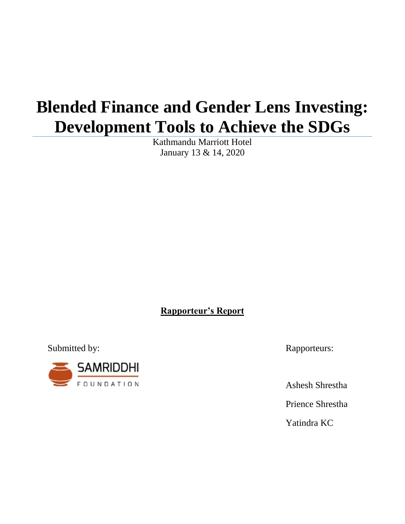# **Blended Finance and Gender Lens Investing: Development Tools to Achieve the SDGs**

Kathmandu Marriott Hotel January 13 & 14, 2020

**Rapporteur's Report**

Submitted by: Rapporteurs:



Ashesh Shrestha

Prience Shrestha

Yatindra KC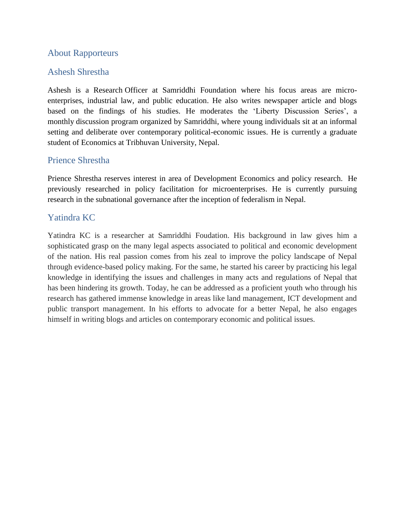# About Rapporteurs

# Ashesh Shrestha

Ashesh is a Research Officer at Samriddhi Foundation where his focus areas are microenterprises, industrial law, and public education. He also writes newspaper article and blogs based on the findings of his studies. He moderates the "Liberty Discussion Series", a monthly discussion program organized by Samriddhi, where young individuals sit at an informal setting and deliberate over contemporary political-economic issues. He is currently a graduate student of Economics at Tribhuvan University, Nepal.

## Prience Shrestha

Prience Shrestha reserves interest in area of Development Economics and policy research. He previously researched in policy facilitation for microenterprises. He is currently pursuing research in the subnational governance after the inception of federalism in Nepal.

# Yatindra KC

Yatindra KC is a researcher at Samriddhi Foudation. His background in law gives him a sophisticated grasp on the many legal aspects associated to political and economic development of the nation. His real passion comes from his zeal to improve the policy landscape of Nepal through evidence-based policy making. For the same, he started his career by practicing his legal knowledge in identifying the issues and challenges in many acts and regulations of Nepal that has been hindering its growth. Today, he can be addressed as a proficient youth who through his research has gathered immense knowledge in areas like land management, ICT development and public transport management. In his efforts to advocate for a better Nepal, he also engages himself in writing blogs and articles on contemporary economic and political issues.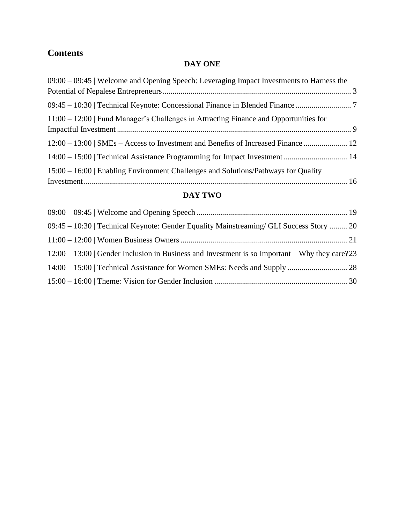# **Contents**

# **DAY ONE**

| $09:00 - 09:45$ Welcome and Opening Speech: Leveraging Impact Investments to Harness the |  |
|------------------------------------------------------------------------------------------|--|
|                                                                                          |  |
| 09:45 – 10:30   Technical Keynote: Concessional Finance in Blended Finance               |  |
| 11:00 – 12:00   Fund Manager's Challenges in Attracting Finance and Opportunities for    |  |
|                                                                                          |  |
| 12:00 – 13:00   SMEs – Access to Investment and Benefits of Increased Finance  12        |  |
|                                                                                          |  |
| 15:00 – 16:00   Enabling Environment Challenges and Solutions/Pathways for Quality       |  |
|                                                                                          |  |

# **DAY TWO**

<span id="page-2-0"></span>

| 09:45 – 10:30   Technical Keynote: Gender Equality Mainstreaming/ GLI Success Story  20       |  |
|-----------------------------------------------------------------------------------------------|--|
|                                                                                               |  |
| $12:00-13:00$ Gender Inclusion in Business and Investment is so Important – Why they care? 23 |  |
|                                                                                               |  |
|                                                                                               |  |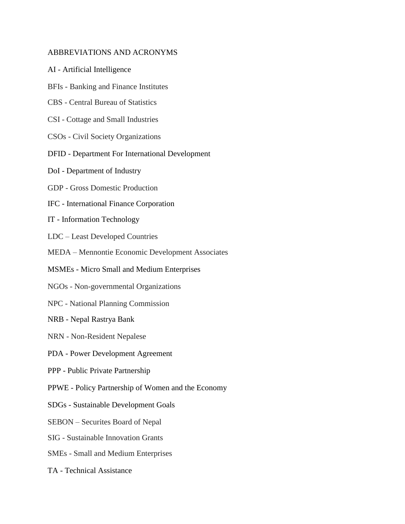#### ABBREVIATIONS AND ACRONYMS

- AI Artificial Intelligence
- BFIs Banking and Finance Institutes
- CBS Central Bureau of Statistics
- CSI Cottage and Small Industries
- CSOs Civil Society Organizations
- DFID Department For International Development
- DoI Department of Industry
- GDP Gross Domestic Production
- IFC International Finance Corporation
- IT Information Technology
- LDC Least Developed Countries
- MEDA Mennontie Economic Development Associates
- MSMEs Micro Small and Medium Enterprises
- NGOs Non-governmental Organizations
- NPC National Planning Commission
- NRB Nepal Rastrya Bank
- NRN Non-Resident Nepalese
- PDA Power Development Agreement
- PPP Public Private Partnership
- PPWE Policy Partnership of Women and the Economy
- SDGs Sustainable Development Goals
- SEBON Securites Board of Nepal
- SIG Sustainable Innovation Grants
- SMEs Small and Medium Enterprises
- TA Technical Assistance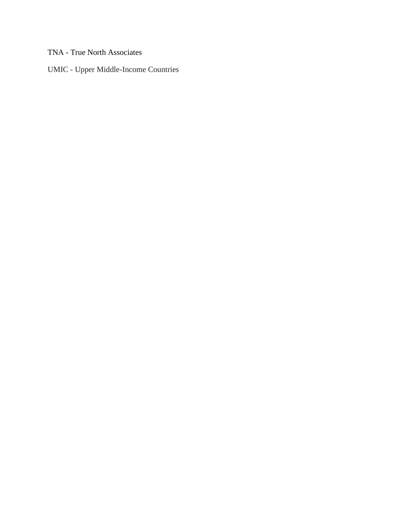TNA - True North Associates

UMIC - Upper Middle-Income Countries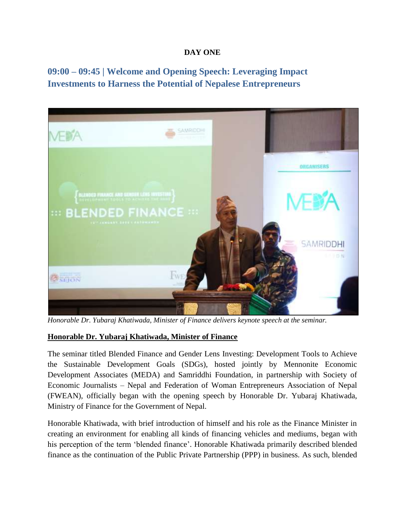#### **DAY ONE**

**09:00 – 09:45 | Welcome and Opening Speech: Leveraging Impact Investments to Harness the Potential of Nepalese Entrepreneurs**



*Honorable Dr. Yubaraj Khatiwada, Minister of Finance delivers keynote speech at the seminar.*

#### **Honorable Dr. Yubaraj Khatiwada, Minister of Finance**

The seminar titled Blended Finance and Gender Lens Investing: Development Tools to Achieve the Sustainable Development Goals (SDGs), hosted jointly by Mennonite Economic Development Associates (MEDA) and Samriddhi Foundation, in partnership with Society of Economic Journalists – Nepal and Federation of Woman Entrepreneurs Association of Nepal (FWEAN), officially began with the opening speech by Honorable Dr. Yubaraj Khatiwada, Ministry of Finance for the Government of Nepal.

Honorable Khatiwada, with brief introduction of himself and his role as the Finance Minister in creating an environment for enabling all kinds of financing vehicles and mediums, began with his perception of the term 'blended finance'. Honorable Khatiwada primarily described blended finance as the continuation of the Public Private Partnership (PPP) in business. As such, blended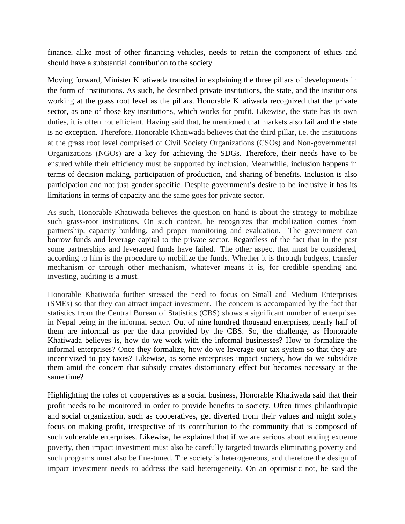finance, alike most of other financing vehicles, needs to retain the component of ethics and should have a substantial contribution to the society.

Moving forward, Minister Khatiwada transited in explaining the three pillars of developments in the form of institutions. As such, he described private institutions, the state, and the institutions working at the grass root level as the pillars. Honorable Khatiwada recognized that the private sector, as one of those key institutions, which works for profit. Likewise, the state has its own duties, it is often not efficient. Having said that, he mentioned that markets also fail and the state is no exception. Therefore, Honorable Khatiwada believes that the third pillar, i.e. the institutions at the grass root level comprised of Civil Society Organizations (CSOs) and Non-governmental Organizations (NGOs) are a key for achieving the SDGs. Therefore, their needs have to be ensured while their efficiency must be supported by inclusion. Meanwhile, inclusion happens in terms of decision making, participation of production, and sharing of benefits. Inclusion is also participation and not just gender specific. Despite government's desire to be inclusive it has its limitations in terms of capacity and the same goes for private sector.

As such, Honorable Khatiwada believes the question on hand is about the strategy to mobilize such grass-root institutions. On such context, he recognizes that mobilization comes from partnership, capacity building, and proper monitoring and evaluation. The government can borrow funds and leverage capital to the private sector. Regardless of the fact that in the past some partnerships and leveraged funds have failed. The other aspect that must be considered, according to him is the procedure to mobilize the funds. Whether it is through budgets, transfer mechanism or through other mechanism, whatever means it is, for credible spending and investing, auditing is a must.

Honorable Khatiwada further stressed the need to focus on Small and Medium Enterprises (SMEs) so that they can attract impact investment. The concern is accompanied by the fact that statistics from the Central Bureau of Statistics (CBS) shows a significant number of enterprises in Nepal being in the informal sector. Out of nine hundred thousand enterprises, nearly half of them are informal as per the data provided by the CBS. So, the challenge, as Honorable Khatiwada believes is, how do we work with the informal businesses? How to formalize the informal enterprises? Once they formalize, how do we leverage our tax system so that they are incentivized to pay taxes? Likewise, as some enterprises impact society, how do we subsidize them amid the concern that subsidy creates distortionary effect but becomes necessary at the same time?

Highlighting the roles of cooperatives as a social business, Honorable Khatiwada said that their profit needs to be monitored in order to provide benefits to society. Often times philanthropic and social organization, such as cooperatives, get diverted from their values and might solely focus on making profit, irrespective of its contribution to the community that is composed of such vulnerable enterprises. Likewise, he explained that if we are serious about ending extreme poverty, then impact investment must also be carefully targeted towards eliminating poverty and such programs must also be fine-tuned. The society is heterogeneous, and therefore the design of impact investment needs to address the said heterogeneity. On an optimistic not, he said the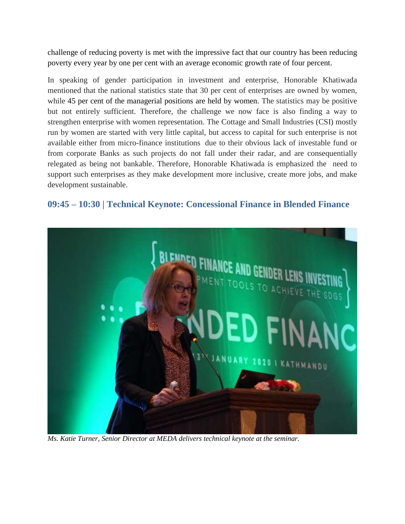challenge of reducing poverty is met with the impressive fact that our country has been reducing poverty every year by one per cent with an average economic growth rate of four percent.

In speaking of gender participation in investment and enterprise, Honorable Khatiwada mentioned that the national statistics state that 30 per cent of enterprises are owned by women, while 45 per cent of the managerial positions are held by women. The statistics may be positive but not entirely sufficient. Therefore, the challenge we now face is also finding a way to strengthen enterprise with women representation. The Cottage and Small Industries (CSI) mostly run by women are started with very little capital, but access to capital for such enterprise is not available either from micro-finance institutions due to their obvious lack of investable fund or from corporate Banks as such projects do not fall under their radar, and are consequentially relegated as being not bankable. Therefore, Honorable Khatiwada is emphasized the need to support such enterprises as they make development more inclusive, create more jobs, and make development sustainable.

# <span id="page-7-0"></span>**09:45 – 10:30 | Technical Keynote: Concessional Finance in Blended Finance**



*Ms. Katie Turner, Senior Director at MEDA delivers technical keynote at the seminar.*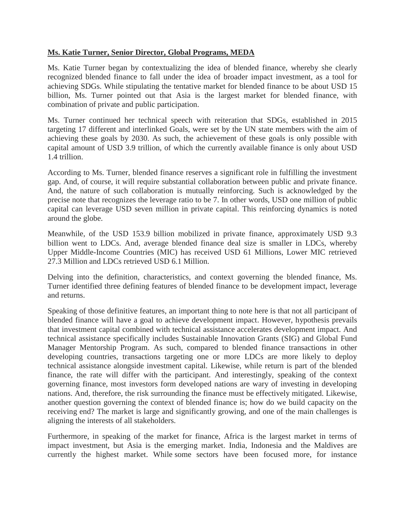#### **Ms. Katie Turner, Senior Director, Global Programs, MEDA**

Ms. Katie Turner began by contextualizing the idea of blended finance, whereby she clearly recognized blended finance to fall under the idea of broader impact investment, as a tool for achieving SDGs. While stipulating the tentative market for blended finance to be about USD 15 billion, Ms. Turner pointed out that Asia is the largest market for blended finance, with combination of private and public participation.

Ms. Turner continued her technical speech with reiteration that SDGs, established in 2015 targeting 17 different and interlinked Goals, were set by the UN state members with the aim of achieving these goals by 2030. As such, the achievement of these goals is only possible with capital amount of USD 3.9 trillion, of which the currently available finance is only about USD 1.4 trillion.

According to Ms. Turner, blended finance reserves a significant role in fulfilling the investment gap. And, of course, it will require substantial collaboration between public and private finance. And, the nature of such collaboration is mutually reinforcing. Such is acknowledged by the precise note that recognizes the leverage ratio to be 7. In other words, USD one million of public capital can leverage USD seven million in private capital. This reinforcing dynamics is noted around the globe.

Meanwhile, of the USD 153.9 billion mobilized in private finance, approximately USD 9.3 billion went to LDCs. And, average blended finance deal size is smaller in LDCs, whereby Upper Middle-Income Countries (MIC) has received USD 61 Millions, Lower MIC retrieved 27.3 Million and LDCs retrieved USD 6.1 Million.

Delving into the definition, characteristics, and context governing the blended finance, Ms. Turner identified three defining features of blended finance to be development impact, leverage and returns.

Speaking of those definitive features, an important thing to note here is that not all participant of blended finance will have a goal to achieve development impact. However, hypothesis prevails that investment capital combined with technical assistance accelerates development impact. And technical assistance specifically includes Sustainable Innovation Grants (SIG) and Global Fund Manager Mentorship Program. As such, compared to blended finance transactions in other developing countries, transactions targeting one or more LDCs are more likely to deploy technical assistance alongside investment capital. Likewise, while return is part of the blended finance, the rate will differ with the participant. And interestingly, speaking of the context governing finance, most investors form developed nations are wary of investing in developing nations. And, therefore, the risk surrounding the finance must be effectively mitigated. Likewise, another question governing the context of blended finance is; how do we build capacity on the receiving end? The market is large and significantly growing, and one of the main challenges is aligning the interests of all stakeholders.

Furthermore, in speaking of the market for finance, Africa is the largest market in terms of impact investment, but Asia is the emerging market. India, Indonesia and the Maldives are currently the highest market. While some sectors have been focused more, for instance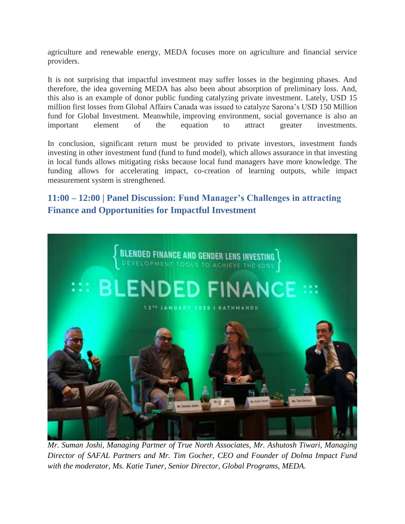agriculture and renewable energy, MEDA focuses more on agriculture and financial service providers.

It is not surprising that impactful investment may suffer losses in the beginning phases. And therefore, the idea governing MEDA has also been about absorption of preliminary loss. And, this also is an example of donor public funding catalyzing private investment. Lately, USD 15 million first losses from Global Affairs Canada was issued to catalyze Sarona"s USD 150 Million fund for Global Investment. Meanwhile, improving environment, social governance is also an important element of the equation to attract greater investments.

In conclusion, significant return must be provided to private investors, investment funds investing in other investment fund (fund to fund model), which allows assurance in that investing in local funds allows mitigating risks because local fund managers have more knowledge. The funding allows for accelerating impact, co-creation of learning outputs, while impact measurement system is strengthened.

# <span id="page-9-0"></span>**11:00 – 12:00 | Panel Discussion: Fund Manager's Challenges in attracting Finance and Opportunities for Impactful Investment**



*Mr. Suman Joshi, Managing Partner of True North Associates, Mr. Ashutosh Tiwari, Managing Director of SAFAL Partners and Mr. Tim Gocher, CEO and Founder of Dolma Impact Fund with the moderator, Ms. Katie Tuner, Senior Director, Global Programs, MEDA.*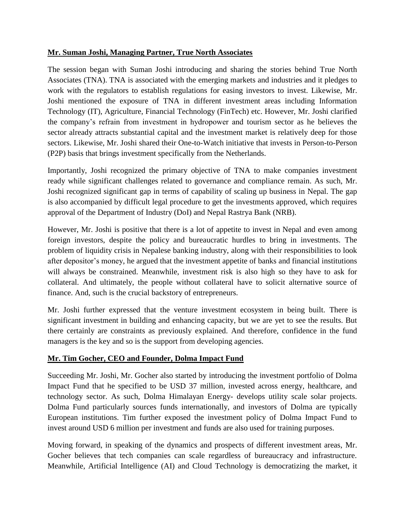#### **Mr. Suman Joshi, Managing Partner, True North Associates**

The session began with Suman Joshi introducing and sharing the stories behind True North Associates (TNA). TNA is associated with the emerging markets and industries and it pledges to work with the regulators to establish regulations for easing investors to invest. Likewise, Mr. Joshi mentioned the exposure of TNA in different investment areas including Information Technology (IT), Agriculture, Financial Technology (FinTech) etc. However, Mr. Joshi clarified the company"s refrain from investment in hydropower and tourism sector as he believes the sector already attracts substantial capital and the investment market is relatively deep for those sectors. Likewise, Mr. Joshi shared their One-to-Watch initiative that invests in Person-to-Person (P2P) basis that brings investment specifically from the Netherlands.

Importantly, Joshi recognized the primary objective of TNA to make companies investment ready while significant challenges related to governance and compliance remain. As such, Mr. Joshi recognized significant gap in terms of capability of scaling up business in Nepal. The gap is also accompanied by difficult legal procedure to get the investments approved, which requires approval of the Department of Industry (DoI) and Nepal Rastrya Bank (NRB).

However, Mr. Joshi is positive that there is a lot of appetite to invest in Nepal and even among foreign investors, despite the policy and bureaucratic hurdles to bring in investments. The problem of liquidity crisis in Nepalese banking industry, along with their responsibilities to look after depositor"s money, he argued that the investment appetite of banks and financial institutions will always be constrained. Meanwhile, investment risk is also high so they have to ask for collateral. And ultimately, the people without collateral have to solicit alternative source of finance. And, such is the crucial backstory of entrepreneurs.

Mr. Joshi further expressed that the venture investment ecosystem in being built. There is significant investment in building and enhancing capacity, but we are yet to see the results. But there certainly are constraints as previously explained. And therefore, confidence in the fund managers is the key and so is the support from developing agencies.

## **Mr. Tim Gocher, CEO and Founder, Dolma Impact Fund**

Succeeding Mr. Joshi, Mr. Gocher also started by introducing the investment portfolio of Dolma Impact Fund that he specified to be USD 37 million, invested across energy, healthcare, and technology sector. As such, Dolma Himalayan Energy- develops utility scale solar projects. Dolma Fund particularly sources funds internationally, and investors of Dolma are typically European institutions. Tim further exposed the investment policy of Dolma Impact Fund to invest around USD 6 million per investment and funds are also used for training purposes.

Moving forward, in speaking of the dynamics and prospects of different investment areas, Mr. Gocher believes that tech companies can scale regardless of bureaucracy and infrastructure. Meanwhile, Artificial Intelligence (AI) and Cloud Technology is democratizing the market, it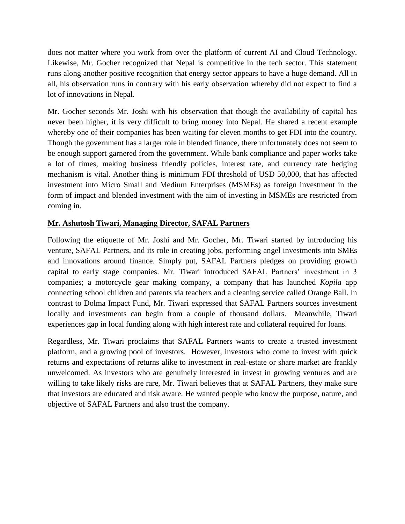does not matter where you work from over the platform of current AI and Cloud Technology. Likewise, Mr. Gocher recognized that Nepal is competitive in the tech sector. This statement runs along another positive recognition that energy sector appears to have a huge demand. All in all, his observation runs in contrary with his early observation whereby did not expect to find a lot of innovations in Nepal.

Mr. Gocher seconds Mr. Joshi with his observation that though the availability of capital has never been higher, it is very difficult to bring money into Nepal. He shared a recent example whereby one of their companies has been waiting for eleven months to get FDI into the country. Though the government has a larger role in blended finance, there unfortunately does not seem to be enough support garnered from the government. While bank compliance and paper works take a lot of times, making business friendly policies, interest rate, and currency rate hedging mechanism is vital. Another thing is minimum FDI threshold of USD 50,000, that has affected investment into Micro Small and Medium Enterprises (MSMEs) as foreign investment in the form of impact and blended investment with the aim of investing in MSMEs are restricted from coming in.

#### **Mr. Ashutosh Tiwari, Managing Director, SAFAL Partners**

Following the etiquette of Mr. Joshi and Mr. Gocher, Mr. Tiwari started by introducing his venture, SAFAL Partners, and its role in creating jobs, performing angel investments into SMEs and innovations around finance. Simply put, SAFAL Partners pledges on providing growth capital to early stage companies. Mr. Tiwari introduced SAFAL Partners' investment in 3 companies; a motorcycle gear making company, a company that has launched *Kopila* app connecting school children and parents via teachers and a cleaning service called Orange Ball. In contrast to Dolma Impact Fund, Mr. Tiwari expressed that SAFAL Partners sources investment locally and investments can begin from a couple of thousand dollars. Meanwhile, Tiwari experiences gap in local funding along with high interest rate and collateral required for loans.

Regardless, Mr. Tiwari proclaims that SAFAL Partners wants to create a trusted investment platform, and a growing pool of investors. However, investors who come to invest with quick returns and expectations of returns alike to investment in real-estate or share market are frankly unwelcomed. As investors who are genuinely interested in invest in growing ventures and are willing to take likely risks are rare, Mr. Tiwari believes that at SAFAL Partners, they make sure that investors are educated and risk aware. He wanted people who know the purpose, nature, and objective of SAFAL Partners and also trust the company.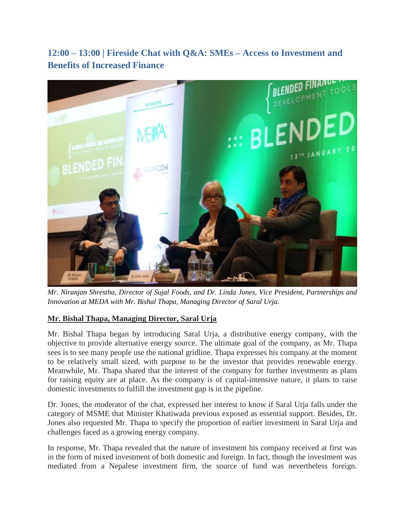<span id="page-12-0"></span>**12:00 – 13:00 | Fireside Chat with Q&A: SMEs – Access to Investment and Benefits of Increased Finance**



*Mr. Niranjan Shrestha, Director of Sujal Foods, and Dr. Linda Jones, Vice President, Partnerships and Innovation at MEDA with Mr. Bishal Thapa, Managing Director of Saral Urja.* 

## **Mr. Bishal Thapa, Managing Director, Saral Urja**

Mr. Bishal Thapa began by introducing Saral Urja, a distributive energy company, with the objective to provide alternative energy source. The ultimate goal of the company, as Mr. Thapa sees is to see many people use the national gridline. Thapa expresses his company at the moment to be relatively small sized, with purpose to be the investor that provides renewable energy. Meanwhile, Mr. Thapa shared that the interest of the company for further investments as plans for raising equity are at place. As the company is of capital-intensive nature, it plans to raise domestic investments to fulfill the investment gap is in the pipeline.

Dr. Jones, the moderator of the chat, expressed her interest to know if Saral Urja falls under the category of MSME that Minister Khatiwada previous exposed as essential support. Besides, Dr. Jones also requested Mr. Thapa to specify the proportion of earlier investment in Saral Urja and challenges faced as a growing energy company.

In response, Mr. Thapa revealed that the nature of investment his company received at first was in the form of mixed investment of both domestic and foreign. In fact, though the investment was mediated from a Nepalese investment firm, the source of fund was nevertheless foreign.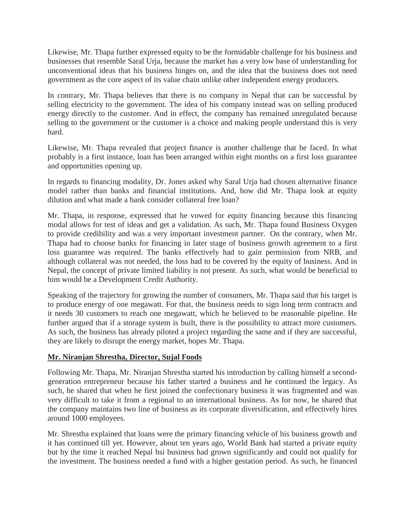Likewise, Mr. Thapa further expressed equity to be the formidable challenge for his business and businesses that resemble Saral Urja*,* because the market has a very low base of understanding for unconventional ideas that his business hinges on, and the idea that the business does not need government as the core aspect of its value chain unlike other independent energy producers.

In contrary, Mr. Thapa believes that there is no company in Nepal that can be successful by selling electricity to the government. The idea of his company instead was on selling produced energy directly to the customer. And in effect, the company has remained unregulated because selling to the government or the customer is a choice and making people understand this is very hard.

Likewise, Mr. Thapa revealed that project finance is another challenge that he faced. In what probably is a first instance, loan has been arranged within eight months on a first loss guarantee and opportunities opening up.

In regards to financing modality, Dr. Jones asked why Saral Urja had chosen alternative finance model rather than banks and financial institutions. And, how did Mr. Thapa look at equity dilution and what made a bank consider collateral free loan?

Mr. Thapa, in response, expressed that he vowed for equity financing because this financing modal allows for test of ideas and get a validation. As such, Mr. Thapa found Business Oxygen to provide credibility and was a very important investment partner. On the contrary, when Mr. Thapa had to choose banks for financing in later stage of business growth agreement to a first loss guarantee was required. The banks effectively had to gain permission from NRB, and although collateral was not needed, the loss had to be covered by the equity of business. And in Nepal, the concept of private limited liability is not present. As such, what would be beneficial to him would be a Development Credit Authority.

Speaking of the trajectory for growing the number of consumers, Mr. Thapa said that his target is to produce energy of one megawatt. For that, the business needs to sign long term contracts and it needs 30 customers to reach one megawatt, which he believed to be reasonable pipeline. He further argued that if a storage system is built, there is the possibility to attract more customers. As such, the business has already piloted a project regarding the same and if they are successful, they are likely to disrupt the energy market, hopes Mr. Thapa.

#### **Mr. Niranjan Shrestha, Director, Sujal Foods**

Following Mr. Thapa, Mr. Niranjan Shrestha started his introduction by calling himself a secondgeneration entrepreneur because his father started a business and he continued the legacy. As such, he shared that when he first joined the confectionary business it was fragmented and was very difficult to take it from a regional to an international business. As for now, he shared that the company maintains two line of business as its corporate diversification, and effectively hires around 1000 employees.

Mr. Shrestha explained that loans were the primary financing vehicle of his business growth and it has continued till yet. However, about ten years ago, World Bank had started a private equity but by the time it reached Nepal hsi business had grown significantly and could not qualify for the investment. The business needed a fund with a higher gestation period. As such, he financed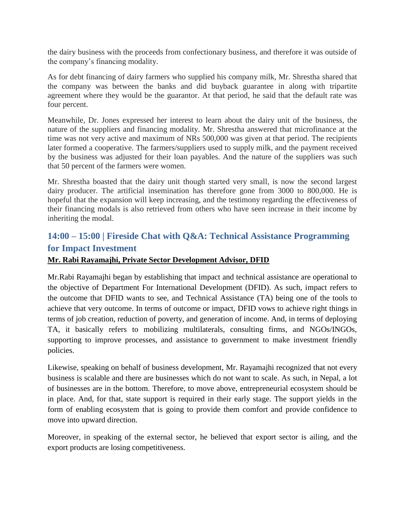the dairy business with the proceeds from confectionary business, and therefore it was outside of the company"s financing modality.

As for debt financing of dairy farmers who supplied his company milk, Mr. Shrestha shared that the company was between the banks and did buyback guarantee in along with tripartite agreement where they would be the guarantor. At that period, he said that the default rate was four percent.

Meanwhile, Dr. Jones expressed her interest to learn about the dairy unit of the business, the nature of the suppliers and financing modality. Mr. Shrestha answered that microfinance at the time was not very active and maximum of NRs 500,000 was given at that period. The recipients later formed a cooperative. The farmers/suppliers used to supply milk, and the payment received by the business was adjusted for their loan payables. And the nature of the suppliers was such that 50 percent of the farmers were women.

Mr. Shrestha boasted that the dairy unit though started very small, is now the second largest dairy producer. The artificial insemination has therefore gone from 3000 to 800,000. He is hopeful that the expansion will keep increasing, and the testimony regarding the effectiveness of their financing modals is also retrieved from others who have seen increase in their income by inheriting the modal.

# <span id="page-14-0"></span>**14:00 – 15:00 | Fireside Chat with Q&A: Technical Assistance Programming for Impact Investment**

#### **Mr. Rabi Rayamajhi, Private Sector Development Advisor, DFID**

Mr.Rabi Rayamajhi began by establishing that impact and technical assistance are operational to the objective of Department For International Development (DFID). As such, impact refers to the outcome that DFID wants to see, and Technical Assistance (TA) being one of the tools to achieve that very outcome. In terms of outcome or impact, DFID vows to achieve right things in terms of job creation, reduction of poverty, and generation of income. And, in terms of deploying TA, it basically refers to mobilizing multilaterals, consulting firms, and NGOs/INGOs, supporting to improve processes, and assistance to government to make investment friendly policies.

Likewise, speaking on behalf of business development, Mr. Rayamajhi recognized that not every business is scalable and there are businesses which do not want to scale. As such, in Nepal, a lot of businesses are in the bottom. Therefore, to move above, entrepreneurial ecosystem should be in place. And, for that, state support is required in their early stage. The support yields in the form of enabling ecosystem that is going to provide them comfort and provide confidence to move into upward direction.

Moreover, in speaking of the external sector, he believed that export sector is ailing, and the export products are losing competitiveness.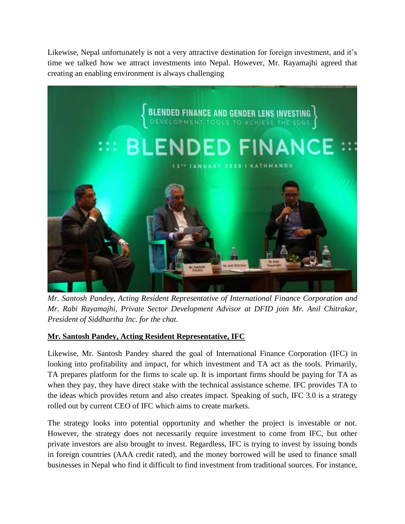Likewise, Nepal unfortunately is not a very attractive destination for foreign investment, and it's time we talked how we attract investments into Nepal. However, Mr. Rayamajhi agreed that creating an enabling environment is always challenging



*Mr. Santosh Pandey, Acting Resident Representative of International Finance Corporation and Mr. Rabi Rayamajhi, Private Sector Development Advisor at DFID join Mr. Anil Chitrakar, President of Siddhartha Inc. for the chat.*

## **Mr. Santosh Pandey, Acting Resident Representative, IFC**

Likewise, Mr. Santosh Pandey shared the goal of International Finance Corporation (IFC) in looking into profitability and impact, for which investment and TA act as the tools. Primarily, TA prepares platform for the firms to scale up. It is important firms should be paying for TA as when they pay, they have direct stake with the technical assistance scheme. IFC provides TA to the ideas which provides return and also creates impact. Speaking of such, IFC 3.0 is a strategy rolled out by current CEO of IFC which aims to create markets.

The strategy looks into potential opportunity and whether the project is investable or not. However, the strategy does not necessarily require investment to come from IFC, but other private investors are also brought to invest. Regardless, IFC is trying to invest by issuing bonds in foreign countries (AAA credit rated), and the money borrowed will be used to finance small businesses in Nepal who find it difficult to find investment from traditional sources. For instance,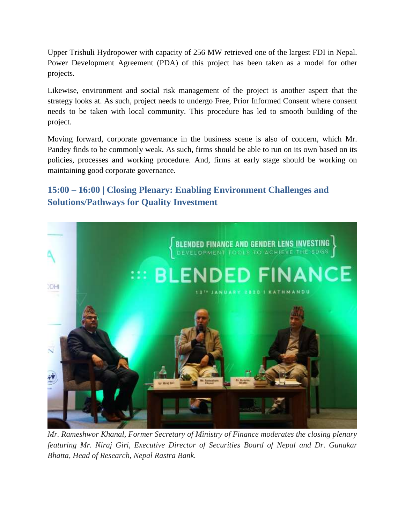Upper Trishuli Hydropower with capacity of 256 MW retrieved one of the largest FDI in Nepal. Power Development Agreement (PDA) of this project has been taken as a model for other projects.

Likewise, environment and social risk management of the project is another aspect that the strategy looks at. As such, project needs to undergo Free, Prior Informed Consent where consent needs to be taken with local community. This procedure has led to smooth building of the project.

Moving forward, corporate governance in the business scene is also of concern, which Mr. Pandey finds to be commonly weak. As such, firms should be able to run on its own based on its policies, processes and working procedure. And, firms at early stage should be working on maintaining good corporate governance.

# <span id="page-16-0"></span>**15:00 – 16:00 | Closing Plenary: Enabling Environment Challenges and Solutions/Pathways for Quality Investment**



*Mr. Rameshwor Khanal, Former Secretary of Ministry of Finance moderates the closing plenary featuring Mr. Niraj Giri, Executive Director of Securities Board of Nepal and Dr. Gunakar Bhatta, Head of Research, Nepal Rastra Bank.*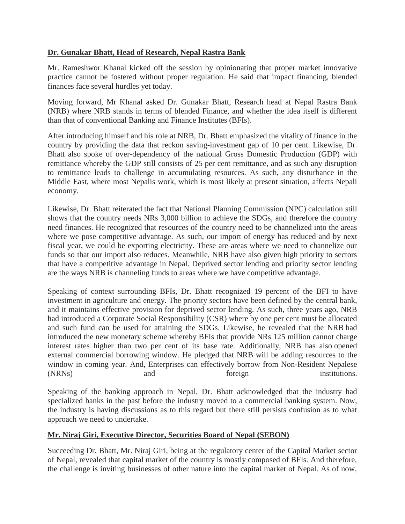#### **Dr. Gunakar Bhatt, Head of Research, Nepal Rastra Bank**

Mr. Rameshwor Khanal kicked off the session by opinionating that proper market innovative practice cannot be fostered without proper regulation. He said that impact financing, blended finances face several hurdles yet today.

Moving forward, Mr Khanal asked Dr. Gunakar Bhatt, Research head at Nepal Rastra Bank (NRB) where NRB stands in terms of blended Finance, and whether the idea itself is different than that of conventional Banking and Finance Institutes (BFIs).

After introducing himself and his role at NRB, Dr. Bhatt emphasized the vitality of finance in the country by providing the data that reckon saving-investment gap of 10 per cent. Likewise, Dr. Bhatt also spoke of over-dependency of the national Gross Domestic Production (GDP) with remittance whereby the GDP still consists of 25 per cent remittance, and as such any disruption to remittance leads to challenge in accumulating resources. As such, any disturbance in the Middle East, where most Nepalis work, which is most likely at present situation, affects Nepali economy.

Likewise, Dr. Bhatt reiterated the fact that National Planning Commission (NPC) calculation still shows that the country needs NRs 3,000 billion to achieve the SDGs, and therefore the country need finances. He recognized that resources of the country need to be channelized into the areas where we pose competitive advantage. As such, our import of energy has reduced and by next fiscal year, we could be exporting electricity. These are areas where we need to channelize our funds so that our import also reduces. Meanwhile, NRB have also given high priority to sectors that have a competitive advantage in Nepal. Deprived sector lending and priority sector lending are the ways NRB is channeling funds to areas where we have competitive advantage.

Speaking of context surrounding BFIs, Dr. Bhatt recognized 19 percent of the BFI to have investment in agriculture and energy. The priority sectors have been defined by the central bank, and it maintains effective provision for deprived sector lending. As such, three years ago, NRB had introduced a Corporate Social Responsibility (CSR) where by one per cent must be allocated and such fund can be used for attaining the SDGs. Likewise, he revealed that the NRB had introduced the new monetary scheme whereby BFIs that provide NRs 125 million cannot charge interest rates higher than two per cent of its base rate. Additionally, NRB has also opened external commercial borrowing window. He pledged that NRB will be adding resources to the window in coming year. And, Enterprises can effectively borrow from Non-Resident Nepalese (NRNs) and foreign institutions.

Speaking of the banking approach in Nepal, Dr. Bhatt acknowledged that the industry had specialized banks in the past before the industry moved to a commercial banking system. Now, the industry is having discussions as to this regard but there still persists confusion as to what approach we need to undertake.

#### **Mr. Niraj Giri, Executive Director, Securities Board of Nepal (SEBON)**

Succeeding Dr. Bhatt, Mr. Niraj Giri, being at the regulatory center of the Capital Market sector of Nepal, revealed that capital market of the country is mostly composed of BFIs. And therefore, the challenge is inviting businesses of other nature into the capital market of Nepal. As of now,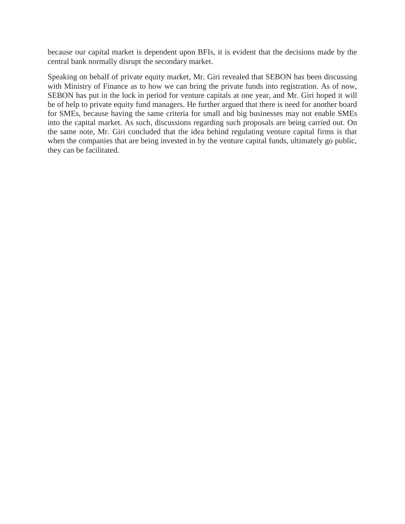because our capital market is dependent upon BFIs, it is evident that the decisions made by the central bank normally disrupt the secondary market.

Speaking on behalf of private equity market, Mr. Giri revealed that SEBON has been discussing with Ministry of Finance as to how we can bring the private funds into registration. As of now, SEBON has put in the lock in period for venture capitals at one year, and Mr. Giri hoped it will be of help to private equity fund managers. He further argued that there is need for another board for SMEs, because having the same criteria for small and big businesses may not enable SMEs into the capital market. As such, discussions regarding such proposals are being carried out. On the same note, Mr. Giri concluded that the idea behind regulating venture capital firms is that when the companies that are being invested in by the venture capital funds, ultimately go public, they can be facilitated.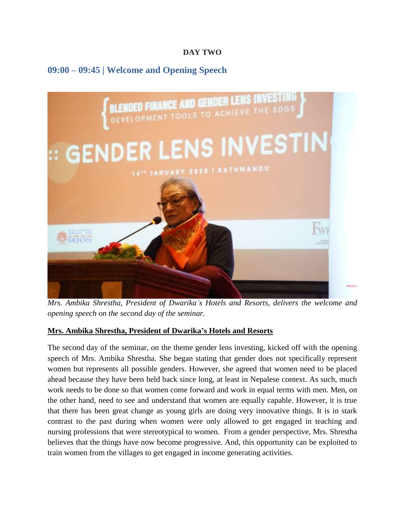## **DAY TWO**

# <span id="page-19-0"></span>**09:00 – 09:45 | Welcome and Opening Speech**



*Mrs. Ambika Shrestha, President of Dwarika's Hotels and Resorts, delivers the welcome and opening speech on the second day of the seminar.*

#### **Mrs. Ambika Shrestha, President of Dwarika's Hotels and Resorts**

The second day of the seminar, on the theme gender lens investing, kicked off with the opening speech of Mrs. Ambika Shrestha. She began stating that gender does not specifically represent women but represents all possible genders. However, she agreed that women need to be placed ahead because they have been held back since long, at least in Nepalese context. As such, much work needs to be done so that women come forward and work in equal terms with men. Men, on the other hand, need to see and understand that women are equally capable. However, it is true that there has been great change as young girls are doing very innovative things. It is in stark contrast to the past during when women were only allowed to get engaged in teaching and nursing professions that were stereotypical to women. From a gender perspective, Mrs. Shrestha believes that the things have now become progressive. And, this opportunity can be exploited to train women from the villages to get engaged in income generating activities.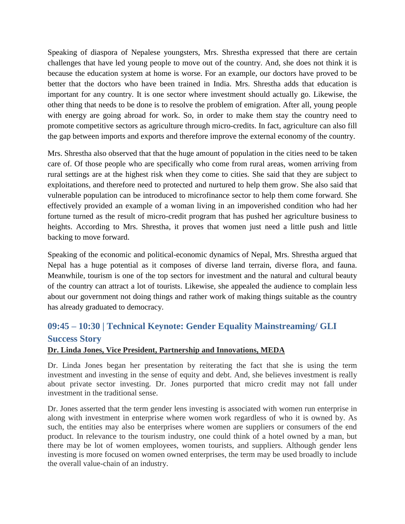Speaking of diaspora of Nepalese youngsters, Mrs. Shrestha expressed that there are certain challenges that have led young people to move out of the country. And, she does not think it is because the education system at home is worse. For an example, our doctors have proved to be better that the doctors who have been trained in India. Mrs. Shrestha adds that education is important for any country. It is one sector where investment should actually go. Likewise, the other thing that needs to be done is to resolve the problem of emigration. After all, young people with energy are going abroad for work. So, in order to make them stay the country need to promote competitive sectors as agriculture through micro-credits. In fact, agriculture can also fill the gap between imports and exports and therefore improve the external economy of the country.

Mrs. Shrestha also observed that that the huge amount of population in the cities need to be taken care of. Of those people who are specifically who come from rural areas, women arriving from rural settings are at the highest risk when they come to cities. She said that they are subject to exploitations, and therefore need to protected and nurtured to help them grow. She also said that vulnerable population can be introduced to microfinance sector to help them come forward. She effectively provided an example of a woman living in an impoverished condition who had her fortune turned as the result of micro-credit program that has pushed her agriculture business to heights. According to Mrs. Shrestha, it proves that women just need a little push and little backing to move forward.

Speaking of the economic and political-economic dynamics of Nepal, Mrs. Shrestha argued that Nepal has a huge potential as it composes of diverse land terrain, diverse flora, and fauna. Meanwhile, tourism is one of the top sectors for investment and the natural and cultural beauty of the country can attract a lot of tourists. Likewise, she appealed the audience to complain less about our government not doing things and rather work of making things suitable as the country has already graduated to democracy.

# <span id="page-20-0"></span>**09:45 – 10:30 | Technical Keynote: Gender Equality Mainstreaming/ GLI Success Story**

#### **Dr. Linda Jones, Vice President, Partnership and Innovations, MEDA**

Dr. Linda Jones began her presentation by reiterating the fact that she is using the term investment and investing in the sense of equity and debt. And, she believes investment is really about private sector investing. Dr. Jones purported that micro credit may not fall under investment in the traditional sense.

Dr. Jones asserted that the term gender lens investing is associated with women run enterprise in along with investment in enterprise where women work regardless of who it is owned by. As such, the entities may also be enterprises where women are suppliers or consumers of the end product. In relevance to the tourism industry, one could think of a hotel owned by a man, but there may be lot of women employees, women tourists, and suppliers. Although gender lens investing is more focused on women owned enterprises, the term may be used broadly to include the overall value-chain of an industry.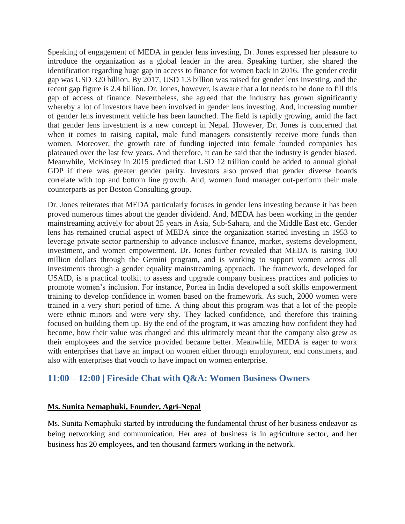Speaking of engagement of MEDA in gender lens investing, Dr. Jones expressed her pleasure to introduce the organization as a global leader in the area. Speaking further, she shared the identification regarding huge gap in access to finance for women back in 2016. The gender credit gap was USD 320 billion. By 2017, USD 1.3 billion was raised for gender lens investing, and the recent gap figure is 2.4 billion. Dr. Jones, however, is aware that a lot needs to be done to fill this gap of access of finance. Nevertheless, she agreed that the industry has grown significantly whereby a lot of investors have been involved in gender lens investing. And, increasing number of gender lens investment vehicle has been launched. The field is rapidly growing, amid the fact that gender lens investment is a new concept in Nepal. However, Dr. Jones is concerned that when it comes to raising capital, male fund managers consistently receive more funds than women. Moreover, the growth rate of funding injected into female founded companies has plateaued over the last few years. And therefore, it can be said that the industry is gender biased. Meanwhile, McKinsey in 2015 predicted that USD 12 trillion could be added to annual global GDP if there was greater gender parity. Investors also proved that gender diverse boards correlate with top and bottom line growth. And, women fund manager out-perform their male counterparts as per Boston Consulting group.

Dr. Jones reiterates that MEDA particularly focuses in gender lens investing because it has been proved numerous times about the gender dividend. And, MEDA has been working in the gender mainstreaming actively for about 25 years in Asia, Sub-Sahara, and the Middle East etc. Gender lens has remained crucial aspect of MEDA since the organization started investing in 1953 to leverage private sector partnership to advance inclusive finance, market, systems development, investment, and women empowerment. Dr. Jones further revealed that MEDA is raising 100 million dollars through the Gemini program, and is working to support women across all investments through a gender equality mainstreaming approach. The framework, developed for USAID, is a practical toolkit to assess and upgrade company business practices and policies to promote women"s inclusion. For instance, Portea in India developed a soft skills empowerment training to develop confidence in women based on the framework. As such, 2000 women were trained in a very short period of time. A thing about this program was that a lot of the people were ethnic minors and were very shy. They lacked confidence, and therefore this training focused on building them up. By the end of the program, it was amazing how confident they had become, how their value was changed and this ultimately meant that the company also grew as their employees and the service provided became better. Meanwhile, MEDA is eager to work with enterprises that have an impact on women either through employment, end consumers, and also with enterprises that vouch to have impact on women enterprise.

# <span id="page-21-0"></span>**11:00 – 12:00 | Fireside Chat with Q&A: Women Business Owners**

#### **Ms. Sunita Nemaphuki, Founder, Agri-Nepal**

Ms. Sunita Nemaphuki started by introducing the fundamental thrust of her business endeavor as being networking and communication. Her area of business is in agriculture sector, and her business has 20 employees, and ten thousand farmers working in the network.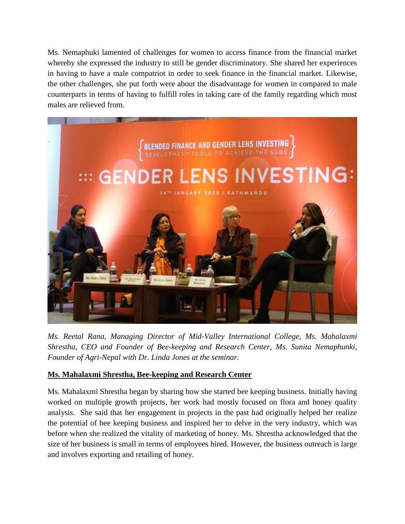Ms. Nemaphuki lamented of challenges for women to access finance from the financial market whereby she expressed the industry to still be gender discriminatory. She shared her experiences in having to have a male compatriot in order to seek finance in the financial market. Likewise, the other challenges, she put forth were about the disadvantage for women in compared to male counterparts in terms of having to fulfill roles in taking care of the family regarding which most males are relieved from.



*Ms. Reetal Rana, Managing Director of Mid-Valley International College, Ms. Mahalaxmi Shrestha, CEO and Founder of Bee-keeping and Research Center, Ms. Sunita Nemaphunki, Founder of Agri-Nepal with Dr. Linda Jones at the seminar.*

## **Ms. Mahalaxmi Shrestha, Bee-keeping and Research Center**

Ms. Mahalaxmi Shrestha began by sharing how she started bee keeping business. Initially having worked on multiple growth projects, her work had mostly focused on flora and honey quality analysis. She said that her engagement in projects in the past had originally helped her realize the potential of bee keeping business and inspired her to delve in the very industry, which was before when she realized the vitality of marketing of honey. Ms. Shrestha acknowledged that the size of her business is small in terms of employees hired. However, the business outreach is large and involves exporting and retailing of honey.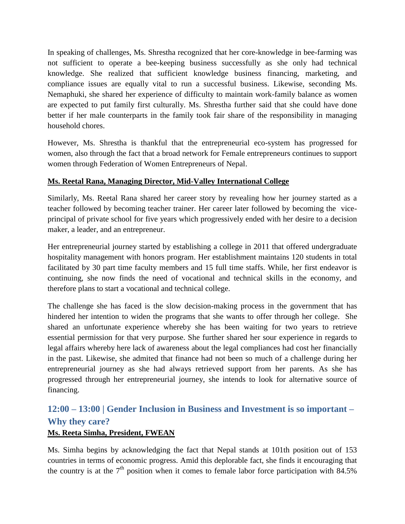In speaking of challenges, Ms. Shrestha recognized that her core-knowledge in bee-farming was not sufficient to operate a bee-keeping business successfully as she only had technical knowledge. She realized that sufficient knowledge business financing, marketing, and compliance issues are equally vital to run a successful business. Likewise, seconding Ms. Nemaphuki, she shared her experience of difficulty to maintain work-family balance as women are expected to put family first culturally. Ms. Shrestha further said that she could have done better if her male counterparts in the family took fair share of the responsibility in managing household chores.

However, Ms. Shrestha is thankful that the entrepreneurial eco-system has progressed for women, also through the fact that a broad network for Female entrepreneurs continues to support women through Federation of Women Entrepreneurs of Nepal.

## **Ms. Reetal Rana, Managing Director, Mid-Valley International College**

Similarly, Ms. Reetal Rana shared her career story by revealing how her journey started as a teacher followed by becoming teacher trainer. Her career later followed by becoming the viceprincipal of private school for five years which progressively ended with her desire to a decision maker, a leader, and an entrepreneur.

Her entrepreneurial journey started by establishing a college in 2011 that offered undergraduate hospitality management with honors program. Her establishment maintains 120 students in total facilitated by 30 part time faculty members and 15 full time staffs. While, her first endeavor is continuing, she now finds the need of vocational and technical skills in the economy, and therefore plans to start a vocational and technical college.

The challenge she has faced is the slow decision-making process in the government that has hindered her intention to widen the programs that she wants to offer through her college. She shared an unfortunate experience whereby she has been waiting for two years to retrieve essential permission for that very purpose. She further shared her sour experience in regards to legal affairs whereby here lack of awareness about the legal compliances had cost her financially in the past. Likewise, she admited that finance had not been so much of a challenge during her entrepreneurial journey as she had always retrieved support from her parents. As she has progressed through her entrepreneurial journey, she intends to look for alternative source of financing.

# <span id="page-23-0"></span>**12:00 – 13:00 | Gender Inclusion in Business and Investment is so important – Why they care?**

## **Ms. Reeta Simha, President, FWEAN**

Ms. Simha begins by acknowledging the fact that Nepal stands at 101th position out of 153 countries in terms of economic progress. Amid this deplorable fact, she finds it encouraging that the country is at the  $7<sup>th</sup>$  position when it comes to female labor force participation with 84.5%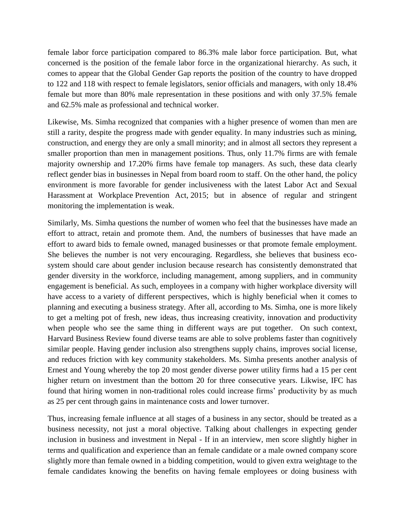female labor force participation compared to 86.3% male labor force participation. But, what concerned is the position of the female labor force in the organizational hierarchy. As such, it comes to appear that the Global Gender Gap reports the position of the country to have dropped to 122 and 118 with respect to female legislators, senior officials and managers, with only 18.4% female but more than 80% male representation in these positions and with only 37.5% female and 62.5% male as professional and technical worker.

Likewise, Ms. Simha recognized that companies with a higher presence of women than men are still a rarity, despite the progress made with gender equality. In many industries such as mining, construction, and energy they are only a small minority; and in almost all sectors they represent a smaller proportion than men in management positions. Thus, only 11.7% firms are with female majority ownership and 17.20% firms have female top managers. As such, these data clearly reflect gender bias in businesses in Nepal from board room to staff. On the other hand, the policy environment is more favorable for gender inclusiveness with the latest Labor Act and Sexual Harassment at Workplace Prevention Act, 2015; but in absence of regular and stringent monitoring the implementation is weak.

Similarly, Ms. Simha questions the number of women who feel that the businesses have made an effort to attract, retain and promote them. And, the numbers of businesses that have made an effort to award bids to female owned, managed businesses or that promote female employment. She believes the number is not very encouraging. Regardless, she believes that business ecosystem should care about gender inclusion because research has consistently demonstrated that gender diversity in the workforce, including management, among suppliers, and in community engagement is beneficial. As such, employees in a company with higher workplace diversity will have access to a variety of different perspectives, which is highly beneficial when it comes to planning and executing a business strategy. After all, according to Ms. Simha, one is more likely to get a melting pot of fresh, new ideas, thus increasing creativity, innovation and productivity when people who see the same thing in different ways are put together. On such context, Harvard Business Review found diverse teams are able to solve problems faster than cognitively similar people. Having gender inclusion also strengthens supply chains, improves social license, and reduces friction with key community stakeholders. Ms. Simha presents another analysis of Ernest and Young whereby the top 20 most gender diverse power utility firms had a 15 per cent higher return on investment than the bottom 20 for three consecutive years. Likwise, IFC has found that hiring women in non-traditional roles could increase firms' productivity by as much as 25 per cent through gains in maintenance costs and lower turnover.

Thus, increasing female influence at all stages of a business in any sector, should be treated as a business necessity, not just a moral objective. Talking about challenges in expecting gender inclusion in business and investment in Nepal - If in an interview, men score slightly higher in terms and qualification and experience than an female candidate or a male owned company score slightly more than female owned in a bidding competition, would to given extra weightage to the female candidates knowing the benefits on having female employees or doing business with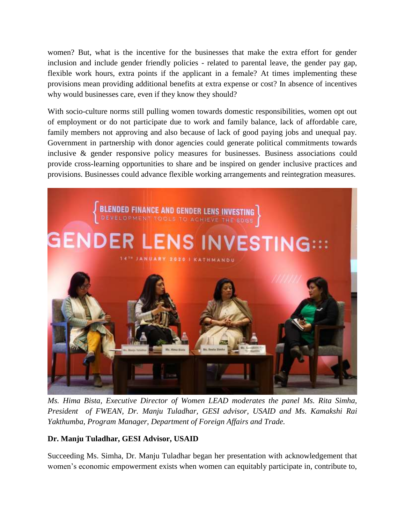women? But, what is the incentive for the businesses that make the extra effort for gender inclusion and include gender friendly policies - related to parental leave, the gender pay gap, flexible work hours, extra points if the applicant in a female? At times implementing these provisions mean providing additional benefits at extra expense or cost? In absence of incentives why would businesses care, even if they know they should?

With socio-culture norms still pulling women towards domestic responsibilities, women opt out of employment or do not participate due to work and family balance, lack of affordable care, family members not approving and also because of lack of good paying jobs and unequal pay. Government in partnership with donor agencies could generate political commitments towards inclusive & gender responsive policy measures for businesses. Business associations could provide cross-learning opportunities to share and be inspired on gender inclusive practices and provisions. Businesses could advance flexible working arrangements and reintegration measures.



*Ms. Hima Bista, Executive Director of Women LEAD moderates the panel Ms. Rita Simha, President of FWEAN, Dr. Manju Tuladhar, GESI advisor, USAID and Ms. Kamakshi Rai Yakthumba, Program Manager, Department of Foreign Affairs and Trade.*

## **Dr. Manju Tuladhar, GESI Advisor, USAID**

Succeeding Ms. Simha, Dr. Manju Tuladhar began her presentation with acknowledgement that women"s economic empowerment exists when women can equitably participate in, contribute to,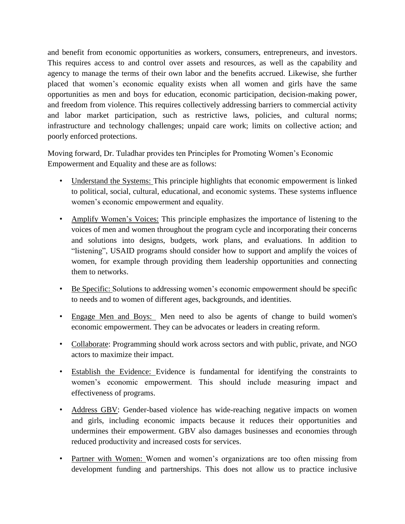and benefit from economic opportunities as workers, consumers, entrepreneurs, and investors. This requires access to and control over assets and resources, as well as the capability and agency to manage the terms of their own labor and the benefits accrued. Likewise, she further placed that women"s economic equality exists when all women and girls have the same opportunities as men and boys for education, economic participation, decision-making power, and freedom from violence. This requires collectively addressing barriers to commercial activity and labor market participation, such as restrictive laws, policies, and cultural norms; infrastructure and technology challenges; unpaid care work; limits on collective action; and poorly enforced protections.

Moving forward, Dr. Tuladhar provides ten Principles for Promoting Women"s Economic Empowerment and Equality and these are as follows:

- Understand the Systems: This principle highlights that economic empowerment is linked to political, social, cultural, educational, and economic systems. These systems influence women's economic empowerment and equality.
- Amplify Women"s Voices: This principle emphasizes the importance of listening to the voices of men and women throughout the program cycle and incorporating their concerns and solutions into designs, budgets, work plans, and evaluations. In addition to "listening", USAID programs should consider how to support and amplify the voices of women, for example through providing them leadership opportunities and connecting them to networks.
- Be Specific: Solutions to addressing women's economic empowerment should be specific to needs and to women of different ages, backgrounds, and identities.
- Engage Men and Boys: Men need to also be agents of change to build women's economic empowerment. They can be advocates or leaders in creating reform.
- Collaborate: Programming should work across sectors and with public, private, and NGO actors to maximize their impact.
- Establish the Evidence: Evidence is fundamental for identifying the constraints to women"s economic empowerment. This should include measuring impact and effectiveness of programs.
- Address GBV: Gender-based violence has wide-reaching negative impacts on women and girls, including economic impacts because it reduces their opportunities and undermines their empowerment. GBV also damages businesses and economies through reduced productivity and increased costs for services.
- Partner with Women: Women and women's organizations are too often missing from development funding and partnerships. This does not allow us to practice inclusive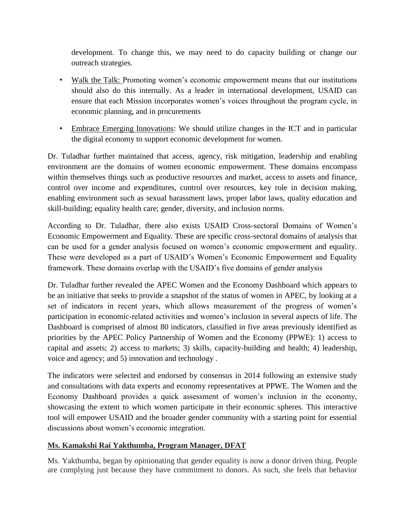development. To change this, we may need to do capacity building or change our outreach strategies.

- Walk the Talk: Promoting women's economic empowerment means that our institutions should also do this internally. As a leader in international development, USAID can ensure that each Mission incorporates women"s voices throughout the program cycle, in economic planning, and in procurements
- Embrace Emerging Innovations: We should utilize changes in the ICT and in particular the digital economy to support economic development for women.

Dr. Tuladhar further maintained that access, agency, risk mitigation, leadership and enabling environment are the domains of women economic empowerment. These domains encompass within themselves things such as productive resources and market, access to assets and finance, control over income and expenditures, control over resources, key role in decision making, enabling environment such as sexual harassment laws, proper labor laws, quality education and skill-building; equality health care; gender, diversity, and inclusion norms.

According to Dr. Tuladhar, there also exists USAID Cross-sectoral Domains of Women"s Economic Empowerment and Equality. These are specific cross-sectoral domains of analysis that can be used for a gender analysis focused on women"s economic empowerment and equality. These were developed as a part of USAID's Women's Economic Empowerment and Equality framework. These domains overlap with the USAID"s five domains of gender analysis

Dr. Tuladhar further revealed the APEC Women and the Economy Dashboard which appears to be an initiative that seeks to provide a snapshot of the status of women in APEC, by looking at a set of indicators in recent years, which allows measurement of the progress of women"s participation in economic-related activities and women"s inclusion in several aspects of life. The Dashboard is comprised of almost 80 indicators, classified in five areas previously identified as priorities by the APEC Policy Partnership of Women and the Economy (PPWE): 1) access to capital and assets; 2) access to markets; 3) skills, capacity-building and health; 4) leadership, voice and agency; and 5) innovation and technology .

The indicators were selected and endorsed by consensus in 2014 following an extensive study and consultations with data experts and economy representatives at PPWE. The Women and the Economy Dashboard provides a quick assessment of women's inclusion in the economy, showcasing the extent to which women participate in their economic spheres. This interactive tool will empower USAID and the broader gender community with a starting point for essential discussions about women's economic integration.

## **Ms. Kamakshi Rai Yakthumba, Program Manager, DFAT**

Ms. Yakthumba, began by opinionating that gender equality is now a donor driven thing. People are complying just because they have commitment to donors. As such, she feels that behavior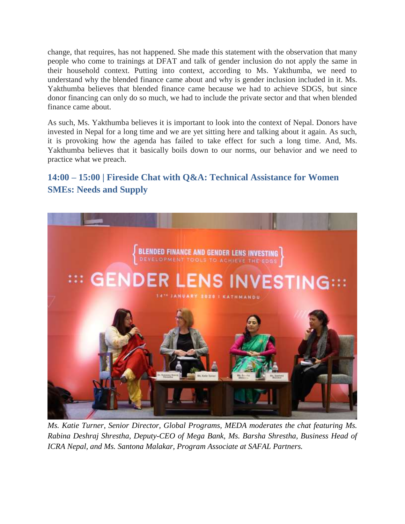change, that requires, has not happened. She made this statement with the observation that many people who come to trainings at DFAT and talk of gender inclusion do not apply the same in their household context. Putting into context, according to Ms. Yakthumba, we need to understand why the blended finance came about and why is gender inclusion included in it. Ms. Yakthumba believes that blended finance came because we had to achieve SDGS, but since donor financing can only do so much, we had to include the private sector and that when blended finance came about.

As such, Ms. Yakthumba believes it is important to look into the context of Nepal. Donors have invested in Nepal for a long time and we are yet sitting here and talking about it again. As such, it is provoking how the agenda has failed to take effect for such a long time. And, Ms. Yakthumba believes that it basically boils down to our norms, our behavior and we need to practice what we preach.

# <span id="page-28-0"></span>**14:00 – 15:00 | Fireside Chat with Q&A: Technical Assistance for Women SMEs: Needs and Supply**



*Ms. Katie Turner, Senior Director, Global Programs, MEDA moderates the chat featuring Ms. Rabina Deshraj Shrestha, Deputy-CEO of Mega Bank, Ms. Barsha Shrestha, Business Head of ICRA Nepal, and Ms. Santona Malakar, Program Associate at SAFAL Partners.*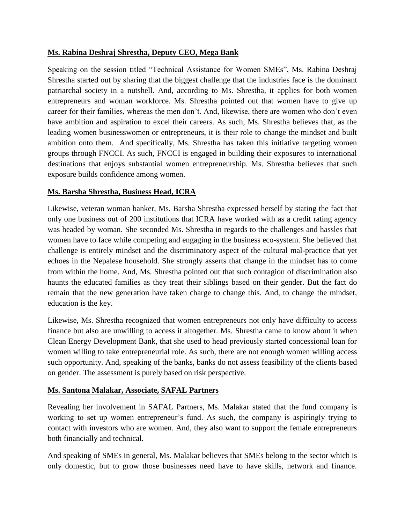#### **Ms. Rabina Deshraj Shrestha, Deputy CEO, Mega Bank**

Speaking on the session titled "Technical Assistance for Women SMEs", Ms. Rabina Deshraj Shrestha started out by sharing that the biggest challenge that the industries face is the dominant patriarchal society in a nutshell. And, according to Ms. Shrestha, it applies for both women entrepreneurs and woman workforce. Ms. Shrestha pointed out that women have to give up career for their families, whereas the men don"t. And, likewise, there are women who don"t even have ambition and aspiration to excel their careers. As such, Ms. Shrestha believes that, as the leading women businesswomen or entrepreneurs, it is their role to change the mindset and built ambition onto them. And specifically, Ms. Shrestha has taken this initiative targeting women groups through FNCCI. As such, FNCCI is engaged in building their exposures to international destinations that enjoys substantial women entrepreneurship. Ms. Shrestha believes that such exposure builds confidence among women.

#### **Ms. Barsha Shrestha, Business Head, ICRA**

Likewise, veteran woman banker, Ms. Barsha Shrestha expressed herself by stating the fact that only one business out of 200 institutions that ICRA have worked with as a credit rating agency was headed by woman. She seconded Ms. Shrestha in regards to the challenges and hassles that women have to face while competing and engaging in the business eco-system. She believed that challenge is entirely mindset and the discriminatory aspect of the cultural mal-practice that yet echoes in the Nepalese household. She strongly asserts that change in the mindset has to come from within the home. And, Ms. Shrestha pointed out that such contagion of discrimination also haunts the educated families as they treat their siblings based on their gender. But the fact do remain that the new generation have taken charge to change this. And, to change the mindset, education is the key.

Likewise, Ms. Shrestha recognized that women entrepreneurs not only have difficulty to access finance but also are unwilling to access it altogether. Ms. Shrestha came to know about it when Clean Energy Development Bank, that she used to head previously started concessional loan for women willing to take entrepreneurial role. As such, there are not enough women willing access such opportunity. And, speaking of the banks, banks do not assess feasibility of the clients based on gender. The assessment is purely based on risk perspective.

#### **Ms. Santona Malakar, Associate, SAFAL Partners**

Revealing her involvement in SAFAL Partners, Ms. Malakar stated that the fund company is working to set up women entrepreneur's fund. As such, the company is aspiringly trying to contact with investors who are women. And, they also want to support the female entrepreneurs both financially and technical.

And speaking of SMEs in general, Ms. Malakar believes that SMEs belong to the sector which is only domestic, but to grow those businesses need have to have skills, network and finance.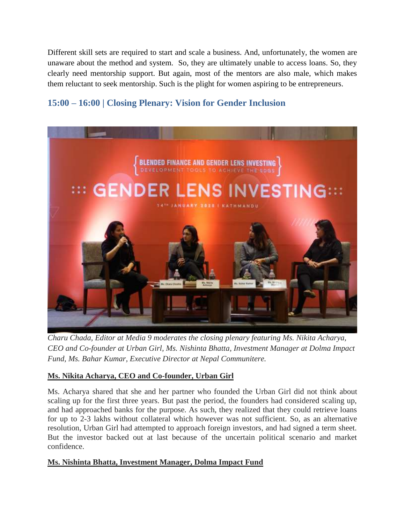Different skill sets are required to start and scale a business. And, unfortunately, the women are unaware about the method and system. So, they are ultimately unable to access loans. So, they clearly need mentorship support. But again, most of the mentors are also male, which makes them reluctant to seek mentorship. Such is the plight for women aspiring to be entrepreneurs.

# <span id="page-30-0"></span>**15:00 – 16:00 | Closing Plenary: Vision for Gender Inclusion**



*Charu Chada, Editor at Media 9 moderates the closing plenary featuring Ms. Nikita Acharya, CEO and Co-founder at Urban Girl, Ms. Nishinta Bhatta, Investment Manager at Dolma Impact Fund, Ms. Bahar Kumar, Executive Director at Nepal Communitere.*

## **Ms. Nikita Acharya, CEO and Co-founder, Urban Girl**

Ms. Acharya shared that she and her partner who founded the Urban Girl did not think about scaling up for the first three years. But past the period, the founders had considered scaling up, and had approached banks for the purpose. As such, they realized that they could retrieve loans for up to 2-3 lakhs without collateral which however was not sufficient. So, as an alternative resolution, Urban Girl had attempted to approach foreign investors, and had signed a term sheet. But the investor backed out at last because of the uncertain political scenario and market confidence.

#### **Ms. Nishinta Bhatta, Investment Manager, Dolma Impact Fund**